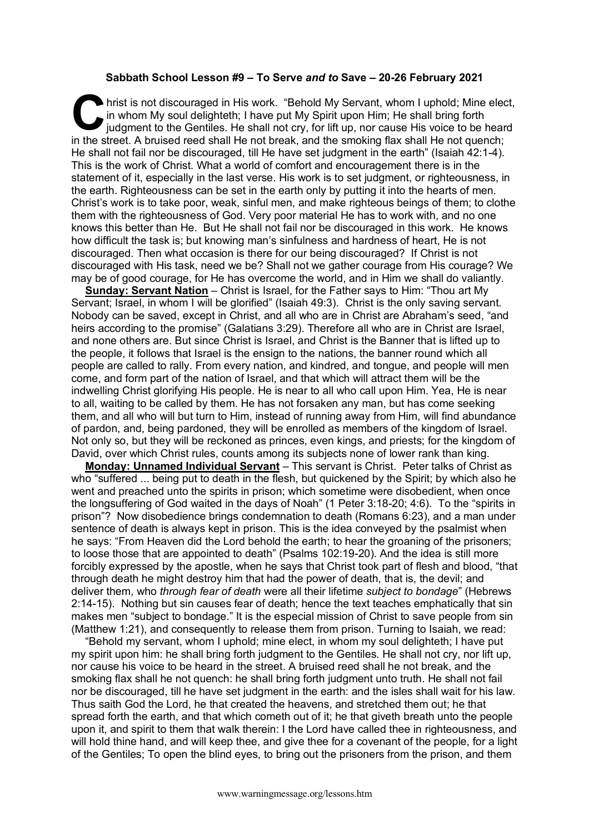## **Sabbath School Lesson #9 – To Serve** *and to* **Save – 20-26 February 2021**

hrist is not discouraged in His work. "Behold My Servant, whom I uphold; Mine elect, in whom My soul delighteth; I have put My Spirit upon Him; He shall bring forth judgment to the Gentiles. He shall not cry, for lift up, in whom My soul delighteth; I have put My Spirit upon Him; He shall bring forth iudgment to the Gentiles. He shall not cry, for lift up, nor cause His voice to be heard in the street. A bruised reed shall He not break, and the smoking flax shall He not quench; He shall not fail nor be discouraged, till He have set judgment in the earth" (Isaiah 42:1-4). This is the work of Christ. What a world of comfort and encouragement there is in the statement of it, especially in the last verse. His work is to set judgment, or righteousness, in the earth. Righteousness can be set in the earth only by putting it into the hearts of men. Christ's work is to take poor, weak, sinful men, and make righteous beings of them; to clothe them with the righteousness of God. Very poor material He has to work with, and no one knows this better than He. But He shall not fail nor be discouraged in this work. He knows how difficult the task is; but knowing man's sinfulness and hardness of heart, He is not discouraged. Then what occasion is there for our being discouraged? If Christ is not discouraged with His task, need we be? Shall not we gather courage from His courage? We may be of good courage, for He has overcome the world, and in Him we shall do valiantly.

**Sunday: Servant Nation** – Christ is Israel, for the Father says to Him: "Thou art My Servant; Israel, in whom I will be glorified" (Isaiah 49:3). Christ is the only saving servant. Nobody can be saved, except in Christ, and all who are in Christ are Abraham's seed, "and heirs according to the promise" (Galatians 3:29). Therefore all who are in Christ are Israel, and none others are. But since Christ is Israel, and Christ is the Banner that is lifted up to the people, it follows that Israel is the ensign to the nations, the banner round which all people are called to rally. From every nation, and kindred, and tongue, and people will men come, and form part of the nation of Israel, and that which will attract them will be the indwelling Christ glorifying His people. He is near to all who call upon Him. Yea, He is near to all, waiting to be called by them. He has not forsaken any man, but has come seeking them, and all who will but turn to Him, instead of running away from Him, will find abundance of pardon, and, being pardoned, they will be enrolled as members of the kingdom of Israel. Not only so, but they will be reckoned as princes, even kings, and priests; for the kingdom of David, over which Christ rules, counts among its subjects none of lower rank than king.

**Monday: Unnamed Individual Servant** – This servant is Christ. Peter talks of Christ as who "suffered ... being put to death in the flesh, but quickened by the Spirit; by which also he went and preached unto the spirits in prison; which sometime were disobedient, when once the longsuffering of God waited in the days of Noah" (1 Peter 3:18-20; 4:6). To the "spirits in prison"? Now disobedience brings condemnation to death (Romans 6:23), and a man under sentence of death is always kept in prison. This is the idea conveyed by the psalmist when he says: "From Heaven did the Lord behold the earth; to hear the groaning of the prisoners; to loose those that are appointed to death" (Psalms 102:19-20). And the idea is still more forcibly expressed by the apostle, when he says that Christ took part of flesh and blood, "that through death he might destroy him that had the power of death, that is, the devil; and deliver them, who *through fear of death* were all their lifetime *subject to bondage*" (Hebrews 2:14-15). Nothing but sin causes fear of death; hence the text teaches emphatically that sin makes men "subject to bondage." It is the especial mission of Christ to save people from sin (Matthew 1:21), and consequently to release them from prison. Turning to Isaiah, we read:

"Behold my servant, whom I uphold; mine elect, in whom my soul delighteth; I have put my spirit upon him: he shall bring forth judgment to the Gentiles. He shall not cry, nor lift up, nor cause his voice to be heard in the street. A bruised reed shall he not break, and the smoking flax shall he not quench: he shall bring forth judgment unto truth. He shall not fail nor be discouraged, till he have set judgment in the earth: and the isles shall wait for his law. Thus saith God the Lord, he that created the heavens, and stretched them out; he that spread forth the earth, and that which cometh out of it; he that giveth breath unto the people upon it, and spirit to them that walk therein: I the Lord have called thee in righteousness, and will hold thine hand, and will keep thee, and give thee for a covenant of the people, for a light of the Gentiles; To open the blind eyes, to bring out the prisoners from the prison, and them